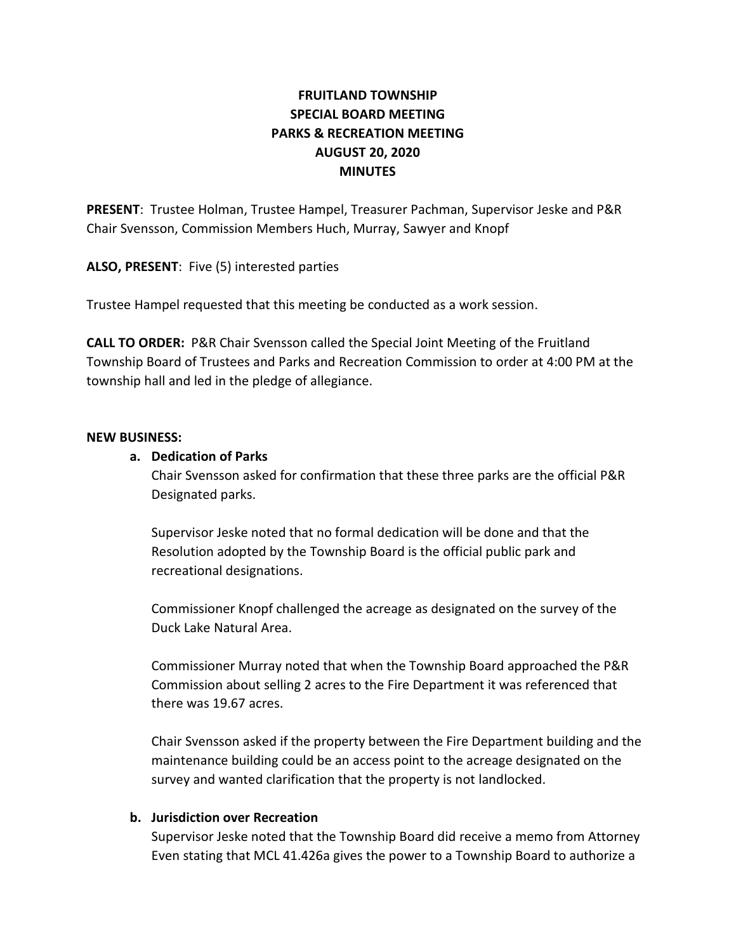# FRUITLAND TOWNSHIP SPECIAL BOARD MEETING PARKS & RECREATION MEETING AUGUST 20, 2020 **MINUTES**

PRESENT: Trustee Holman, Trustee Hampel, Treasurer Pachman, Supervisor Jeske and P&R Chair Svensson, Commission Members Huch, Murray, Sawyer and Knopf

ALSO, PRESENT: Five (5) interested parties

Trustee Hampel requested that this meeting be conducted as a work session.

CALL TO ORDER: P&R Chair Svensson called the Special Joint Meeting of the Fruitland Township Board of Trustees and Parks and Recreation Commission to order at 4:00 PM at the township hall and led in the pledge of allegiance.

#### NEW BUSINESS:

## a. Dedication of Parks

Chair Svensson asked for confirmation that these three parks are the official P&R Designated parks.

Supervisor Jeske noted that no formal dedication will be done and that the Resolution adopted by the Township Board is the official public park and recreational designations.

Commissioner Knopf challenged the acreage as designated on the survey of the Duck Lake Natural Area.

Commissioner Murray noted that when the Township Board approached the P&R Commission about selling 2 acres to the Fire Department it was referenced that there was 19.67 acres.

Chair Svensson asked if the property between the Fire Department building and the maintenance building could be an access point to the acreage designated on the survey and wanted clarification that the property is not landlocked.

## b. Jurisdiction over Recreation

Supervisor Jeske noted that the Township Board did receive a memo from Attorney Even stating that MCL 41.426a gives the power to a Township Board to authorize a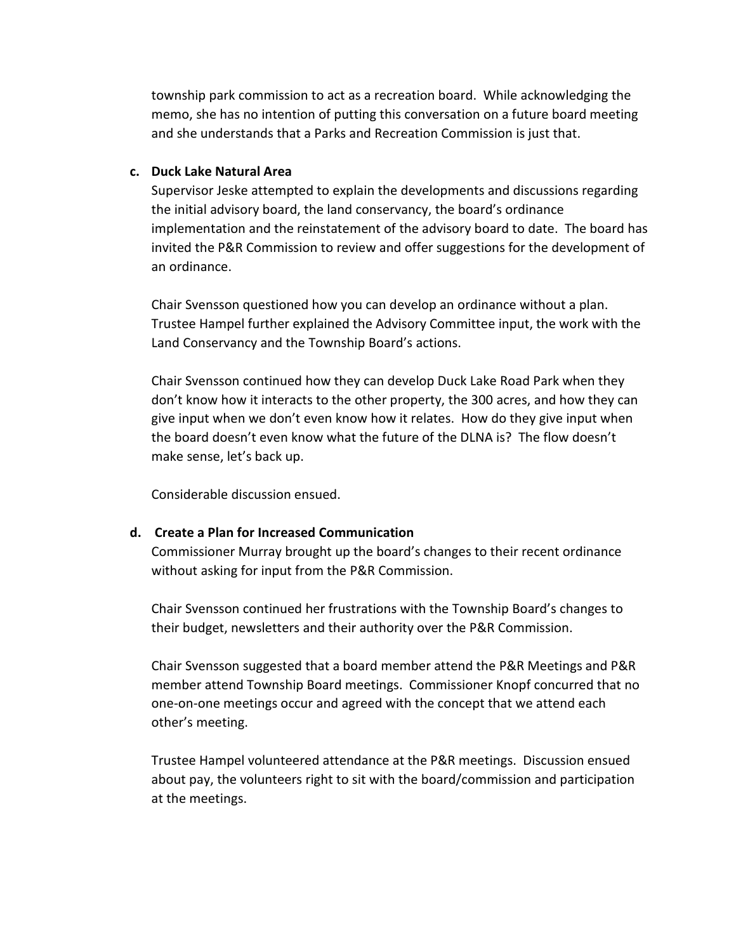township park commission to act as a recreation board. While acknowledging the memo, she has no intention of putting this conversation on a future board meeting and she understands that a Parks and Recreation Commission is just that.

### c. Duck Lake Natural Area

Supervisor Jeske attempted to explain the developments and discussions regarding the initial advisory board, the land conservancy, the board's ordinance implementation and the reinstatement of the advisory board to date. The board has invited the P&R Commission to review and offer suggestions for the development of an ordinance.

Chair Svensson questioned how you can develop an ordinance without a plan. Trustee Hampel further explained the Advisory Committee input, the work with the Land Conservancy and the Township Board's actions.

Chair Svensson continued how they can develop Duck Lake Road Park when they don't know how it interacts to the other property, the 300 acres, and how they can give input when we don't even know how it relates. How do they give input when the board doesn't even know what the future of the DLNA is? The flow doesn't make sense, let's back up.

Considerable discussion ensued.

## d. Create a Plan for Increased Communication

Commissioner Murray brought up the board's changes to their recent ordinance without asking for input from the P&R Commission.

Chair Svensson continued her frustrations with the Township Board's changes to their budget, newsletters and their authority over the P&R Commission.

Chair Svensson suggested that a board member attend the P&R Meetings and P&R member attend Township Board meetings. Commissioner Knopf concurred that no one-on-one meetings occur and agreed with the concept that we attend each other's meeting.

Trustee Hampel volunteered attendance at the P&R meetings. Discussion ensued about pay, the volunteers right to sit with the board/commission and participation at the meetings.